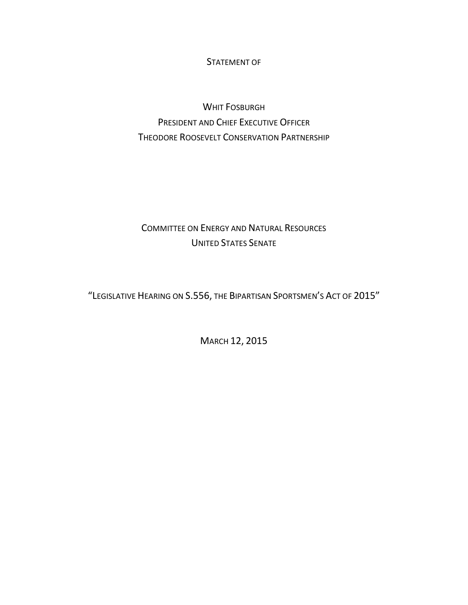STATEMENT OF

WHIT FOSBURGH PRESIDENT AND CHIEF EXECUTIVE OFFICER THEODORE ROOSEVELT CONSERVATION PARTNERSHIP

## COMMITTEE ON ENERGY AND NATURAL RESOURCES UNITED STATES SENATE

"LEGISLATIVE HEARING ON S.556, THE BIPARTISAN SPORTSMEN'S ACT OF 2015"

MARCH 12, 2015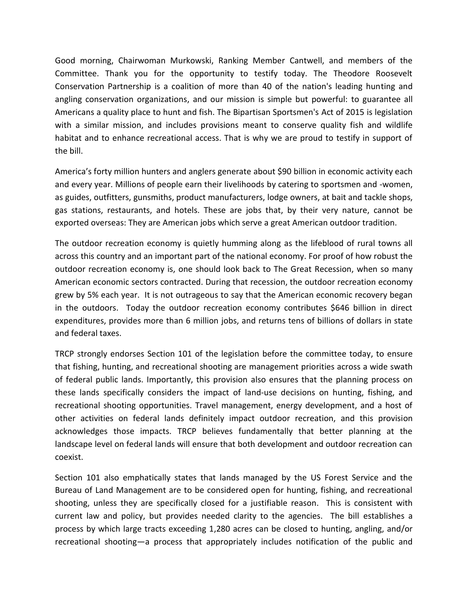Good morning, Chairwoman Murkowski, Ranking Member Cantwell, and members of the Committee. Thank you for the opportunity to testify today. The Theodore Roosevelt Conservation Partnership is a coalition of more than 40 of the nation's leading hunting and angling conservation organizations, and our mission is simple but powerful: to guarantee all Americans a quality place to hunt and fish. The Bipartisan Sportsmen's Act of 2015 is legislation with a similar mission, and includes provisions meant to conserve quality fish and wildlife habitat and to enhance recreational access. That is why we are proud to testify in support of the bill.

America's forty million hunters and anglers generate about \$90 billion in economic activity each and every year. Millions of people earn their livelihoods by catering to sportsmen and -women, as guides, outfitters, gunsmiths, product manufacturers, lodge owners, at bait and tackle shops, gas stations, restaurants, and hotels. These are jobs that, by their very nature, cannot be exported overseas: They are American jobs which serve a great American outdoor tradition.

The outdoor recreation economy is quietly humming along as the lifeblood of rural towns all across this country and an important part of the national economy. For proof of how robust the outdoor recreation economy is, one should look back to The Great Recession, when so many American economic sectors contracted. During that recession, the outdoor recreation economy grew by 5% each year. It is not outrageous to say that the American economic recovery began in the outdoors. Today the outdoor recreation economy contributes \$646 billion in direct expenditures, provides more than 6 million jobs, and returns tens of billions of dollars in state and federal taxes.

TRCP strongly endorses Section 101 of the legislation before the committee today, to ensure that fishing, hunting, and recreational shooting are management priorities across a wide swath of federal public lands. Importantly, this provision also ensures that the planning process on these lands specifically considers the impact of land-use decisions on hunting, fishing, and recreational shooting opportunities. Travel management, energy development, and a host of other activities on federal lands definitely impact outdoor recreation, and this provision acknowledges those impacts. TRCP believes fundamentally that better planning at the landscape level on federal lands will ensure that both development and outdoor recreation can coexist.

Section 101 also emphatically states that lands managed by the US Forest Service and the Bureau of Land Management are to be considered open for hunting, fishing, and recreational shooting, unless they are specifically closed for a justifiable reason. This is consistent with current law and policy, but provides needed clarity to the agencies. The bill establishes a process by which large tracts exceeding 1,280 acres can be closed to hunting, angling, and/or recreational shooting—a process that appropriately includes notification of the public and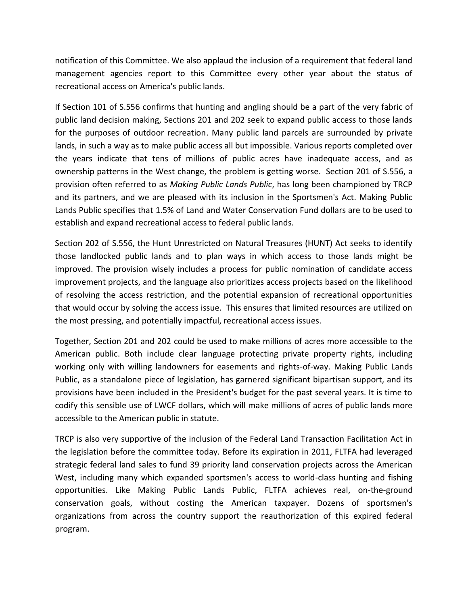notification of this Committee. We also applaud the inclusion of a requirement that federal land management agencies report to this Committee every other year about the status of recreational access on America's public lands.

If Section 101 of S.556 confirms that hunting and angling should be a part of the very fabric of public land decision making, Sections 201 and 202 seek to expand public access to those lands for the purposes of outdoor recreation. Many public land parcels are surrounded by private lands, in such a way as to make public access all but impossible. Various reports completed over the years indicate that tens of millions of public acres have inadequate access, and as ownership patterns in the West change, the problem is getting worse. Section 201 of S.556, a provision often referred to as *Making Public Lands Public*, has long been championed by TRCP and its partners, and we are pleased with its inclusion in the Sportsmen's Act. Making Public Lands Public specifies that 1.5% of Land and Water Conservation Fund dollars are to be used to establish and expand recreational access to federal public lands.

Section 202 of S.556, the Hunt Unrestricted on Natural Treasures (HUNT) Act seeks to identify those landlocked public lands and to plan ways in which access to those lands might be improved. The provision wisely includes a process for public nomination of candidate access improvement projects, and the language also prioritizes access projects based on the likelihood of resolving the access restriction, and the potential expansion of recreational opportunities that would occur by solving the access issue. This ensures that limited resources are utilized on the most pressing, and potentially impactful, recreational access issues.

Together, Section 201 and 202 could be used to make millions of acres more accessible to the American public. Both include clear language protecting private property rights, including working only with willing landowners for easements and rights-of-way. Making Public Lands Public, as a standalone piece of legislation, has garnered significant bipartisan support, and its provisions have been included in the President's budget for the past several years. It is time to codify this sensible use of LWCF dollars, which will make millions of acres of public lands more accessible to the American public in statute.

TRCP is also very supportive of the inclusion of the Federal Land Transaction Facilitation Act in the legislation before the committee today. Before its expiration in 2011, FLTFA had leveraged strategic federal land sales to fund 39 priority land conservation projects across the American West, including many which expanded sportsmen's access to world-class hunting and fishing opportunities. Like Making Public Lands Public, FLTFA achieves real, on-the-ground conservation goals, without costing the American taxpayer. Dozens of sportsmen's organizations from across the country support the reauthorization of this expired federal program.